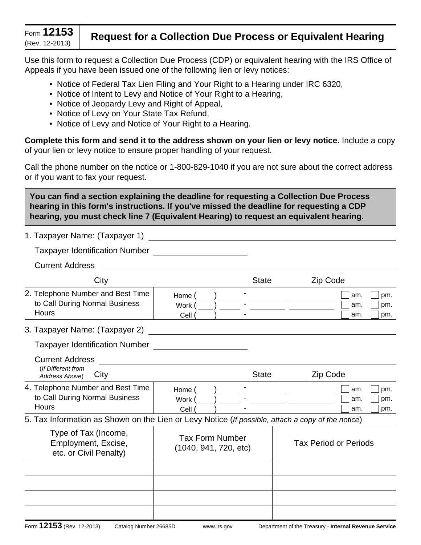# (Rev. 12-2013) **Request for a Collection Due Process or Equivalent Hearing**

Use this form to request a Collection Due Process (CDP) or equivalent hearing with the IRS Office of Appeals if you have been issued one of the following lien or levy notices:

- Notice of Federal Tax Lien Filing and Your Right to a Hearing under IRC 6320,
- Notice of Intent to Levy and Notice of Your Right to a Hearing,
- Notice of Jeopardy Levy and Right of Appeal,
- Notice of Levy on Your State Tax Refund,
- Notice of Levy and Notice of Your Right to a Hearing.

**Complete this form and send it to the address shown on your lien or levy notice.** Include a copy of your lien or levy notice to ensure proper handling of your request.

Call the phone number on the notice or 1-800-829-1040 if you are not sure about the correct address or if you want to fax your request.

**You can find a section explaining the deadline for requesting a Collection Due Process hearing in this form's instructions. If you've missed the deadline for requesting a CDP hearing, you must check line 7 (Equivalent Hearing) to request an equivalent hearing.**

| 1. Taxpayer Name: (Taxpayer 1)                                                                    |                                                                                                                       |  |                                                                                                                                           |                   |  |  |
|---------------------------------------------------------------------------------------------------|-----------------------------------------------------------------------------------------------------------------------|--|-------------------------------------------------------------------------------------------------------------------------------------------|-------------------|--|--|
| Taxpayer Identification Number _______________________                                            |                                                                                                                       |  |                                                                                                                                           |                   |  |  |
| <b>Current Address</b>                                                                            |                                                                                                                       |  |                                                                                                                                           |                   |  |  |
|                                                                                                   | $\overline{\text{City}}$                                                                                              |  | Zip Code<br>State $\frac{1}{\sqrt{1-\frac{1}{2}}\sqrt{1-\frac{1}{2}}\sqrt{1-\frac{1}{2}}\sqrt{1-\frac{1}{2}}\sqrt{1-\frac{1}{2}}$         |                   |  |  |
| 2. Telephone Number and Best Time<br>to Call During Normal Business<br>Hours                      | Home (<br>Work (<br>Cell (                                                                                            |  | am.<br><u> 1999 - Jan Barbara Barbara, president popular popular e popular popular e popular popular popular popular po</u><br>am.<br>am. | pm.<br>pm.<br>pm. |  |  |
| 3. Taxpayer Name: (Taxpayer 2)                                                                    | <u> 1980 - Jan Stein Stein Stein Stein Stein Stein Stein Stein Stein Stein Stein Stein Stein Stein Stein Stein S</u>  |  |                                                                                                                                           |                   |  |  |
| <b>Taxpayer Identification Number</b>                                                             |                                                                                                                       |  |                                                                                                                                           |                   |  |  |
| <b>Current Address</b><br>(If Different from<br>Address Above)                                    | <u> 1989 - Andrea State Barbara, amerikan personal di sebagai personal di sebagai personal di sebagai personal di</u> |  | Zip Code<br>State $\frac{\ }{\ }$                                                                                                         |                   |  |  |
| 4. Telephone Number and Best Time<br>to Call During Normal Business<br>Hours                      | Home ()<br>Work (<br>Cell (                                                                                           |  | am.<br>am.<br>am.                                                                                                                         | pm.<br>pm.<br>pm. |  |  |
| 5. Tax Information as Shown on the Lien or Levy Notice (If possible, attach a copy of the notice) |                                                                                                                       |  |                                                                                                                                           |                   |  |  |
| Type of Tax (Income,<br>Employment, Excise,<br>etc. or Civil Penalty)                             | <b>Tax Form Number</b><br>(1040, 941, 720, etc)                                                                       |  | <b>Tax Period or Periods</b>                                                                                                              |                   |  |  |
|                                                                                                   |                                                                                                                       |  |                                                                                                                                           |                   |  |  |
|                                                                                                   |                                                                                                                       |  |                                                                                                                                           |                   |  |  |
|                                                                                                   |                                                                                                                       |  |                                                                                                                                           |                   |  |  |
|                                                                                                   |                                                                                                                       |  |                                                                                                                                           |                   |  |  |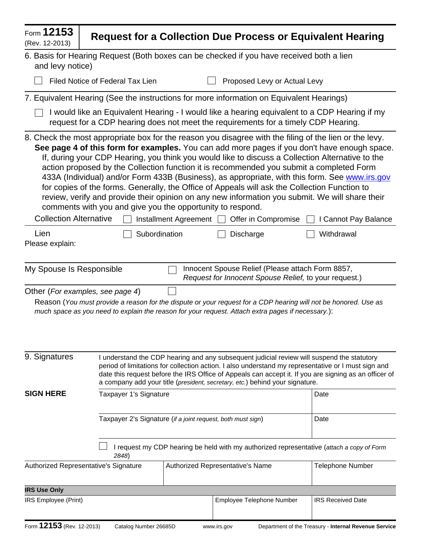| Form 12153<br>(Rev. 12-2013)                                                                                                                                                        | <b>Request for a Collection Due Process or Equivalent Hearing</b>                                                                                                                                                                                                                                                                                                                                                                                                                                                                                                                                                                                                                                                                                                                                                                                                      |                                                       |  |  |  |  |  |
|-------------------------------------------------------------------------------------------------------------------------------------------------------------------------------------|------------------------------------------------------------------------------------------------------------------------------------------------------------------------------------------------------------------------------------------------------------------------------------------------------------------------------------------------------------------------------------------------------------------------------------------------------------------------------------------------------------------------------------------------------------------------------------------------------------------------------------------------------------------------------------------------------------------------------------------------------------------------------------------------------------------------------------------------------------------------|-------------------------------------------------------|--|--|--|--|--|
| and levy notice)                                                                                                                                                                    | 6. Basis for Hearing Request (Both boxes can be checked if you have received both a lien                                                                                                                                                                                                                                                                                                                                                                                                                                                                                                                                                                                                                                                                                                                                                                               |                                                       |  |  |  |  |  |
|                                                                                                                                                                                     | <b>Filed Notice of Federal Tax Lien</b><br>Proposed Levy or Actual Levy                                                                                                                                                                                                                                                                                                                                                                                                                                                                                                                                                                                                                                                                                                                                                                                                |                                                       |  |  |  |  |  |
| 7. Equivalent Hearing (See the instructions for more information on Equivalent Hearings)                                                                                            |                                                                                                                                                                                                                                                                                                                                                                                                                                                                                                                                                                                                                                                                                                                                                                                                                                                                        |                                                       |  |  |  |  |  |
| I would like an Equivalent Hearing - I would like a hearing equivalent to a CDP Hearing if my<br>request for a CDP hearing does not meet the requirements for a timely CDP Hearing. |                                                                                                                                                                                                                                                                                                                                                                                                                                                                                                                                                                                                                                                                                                                                                                                                                                                                        |                                                       |  |  |  |  |  |
| <b>Collection Alternative</b><br>Lien                                                                                                                                               | 8. Check the most appropriate box for the reason you disagree with the filing of the lien or the levy.<br>See page 4 of this form for examples. You can add more pages if you don't have enough space.<br>If, during your CDP Hearing, you think you would like to discuss a Collection Alternative to the<br>action proposed by the Collection function it is recommended you submit a completed Form<br>433A (Individual) and/or Form 433B (Business), as appropriate, with this form. See www.irs.gov<br>for copies of the forms. Generally, the Office of Appeals will ask the Collection Function to<br>review, verify and provide their opinion on any new information you submit. We will share their<br>comments with you and give you the opportunity to respond.<br>Installment Agreement $\Box$<br>Offer in Compromise<br>Subordination<br><b>Discharge</b> | I Cannot Pay Balance<br>Withdrawal                    |  |  |  |  |  |
| Please explain:                                                                                                                                                                     |                                                                                                                                                                                                                                                                                                                                                                                                                                                                                                                                                                                                                                                                                                                                                                                                                                                                        |                                                       |  |  |  |  |  |
| Innocent Spouse Relief (Please attach Form 8857,<br>My Spouse Is Responsible<br>Request for Innocent Spouse Relief, to your request.)                                               |                                                                                                                                                                                                                                                                                                                                                                                                                                                                                                                                                                                                                                                                                                                                                                                                                                                                        |                                                       |  |  |  |  |  |
|                                                                                                                                                                                     | Other (For examples, see page 4)<br>Reason (You must provide a reason for the dispute or your request for a CDP hearing will not be honored. Use as<br>much space as you need to explain the reason for your request. Attach extra pages if necessary.):                                                                                                                                                                                                                                                                                                                                                                                                                                                                                                                                                                                                               |                                                       |  |  |  |  |  |
| 9. Signatures                                                                                                                                                                       | I understand the CDP hearing and any subsequent judicial review will suspend the statutory<br>period of limitations for collection action. I also understand my representative or I must sign and<br>date this request before the IRS Office of Appeals can accept it. If you are signing as an officer of<br>a company add your title (president, secretary, etc.) behind your signature.                                                                                                                                                                                                                                                                                                                                                                                                                                                                             |                                                       |  |  |  |  |  |
| <b>SIGN HERE</b>                                                                                                                                                                    | Taxpayer 1's Signature                                                                                                                                                                                                                                                                                                                                                                                                                                                                                                                                                                                                                                                                                                                                                                                                                                                 | Date                                                  |  |  |  |  |  |
|                                                                                                                                                                                     | Taxpayer 2's Signature (if a joint request, both must sign)                                                                                                                                                                                                                                                                                                                                                                                                                                                                                                                                                                                                                                                                                                                                                                                                            | Date                                                  |  |  |  |  |  |
|                                                                                                                                                                                     | I request my CDP hearing be held with my authorized representative (attach a copy of Form<br>2848)                                                                                                                                                                                                                                                                                                                                                                                                                                                                                                                                                                                                                                                                                                                                                                     |                                                       |  |  |  |  |  |
|                                                                                                                                                                                     | Authorized Representative's Signature<br>Authorized Representative's Name                                                                                                                                                                                                                                                                                                                                                                                                                                                                                                                                                                                                                                                                                                                                                                                              | <b>Telephone Number</b>                               |  |  |  |  |  |
| <b>IRS Use Only</b>                                                                                                                                                                 |                                                                                                                                                                                                                                                                                                                                                                                                                                                                                                                                                                                                                                                                                                                                                                                                                                                                        |                                                       |  |  |  |  |  |
| IRS Employee (Print)                                                                                                                                                                | Employee Telephone Number                                                                                                                                                                                                                                                                                                                                                                                                                                                                                                                                                                                                                                                                                                                                                                                                                                              | <b>IRS Received Date</b>                              |  |  |  |  |  |
| Form 12153 (Rev. 12-2013)                                                                                                                                                           | Catalog Number 26685D<br>www.irs.gov                                                                                                                                                                                                                                                                                                                                                                                                                                                                                                                                                                                                                                                                                                                                                                                                                                   | Department of the Treasury - Internal Revenue Service |  |  |  |  |  |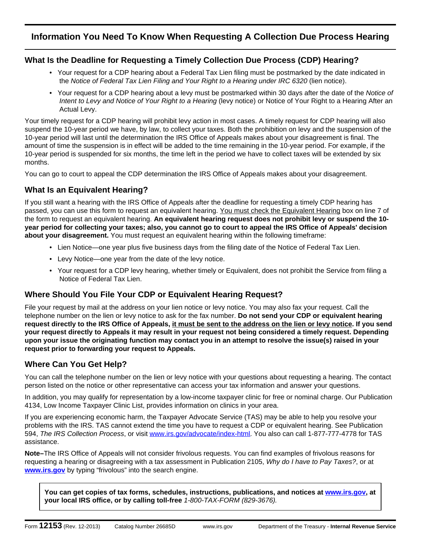## **Information You Need To Know When Requesting A Collection Due Process Hearing**

#### **What Is the Deadline for Requesting a Timely Collection Due Process (CDP) Hearing?**

- •Your request for a CDP hearing about a Federal Tax Lien filing must be postmarked by the date indicated in the *Notice of Federal Tax Lien Filing and Your Right to a Hearing under IRC 6320* (lien notice).
- •Your request for a CDP hearing about a levy must be postmarked within 30 days after the date of the *Notice of Intent to Levy and Notice of Your Right to a Hearing* (levy notice) or Notice of Your Right to a Hearing After an Actual Levy.

Your timely request for a CDP hearing will prohibit levy action in most cases. A timely request for CDP hearing will also suspend the 10-year period we have, by law, to collect your taxes. Both the prohibition on levy and the suspension of the 10-year period will last until the determination the IRS Office of Appeals makes about your disagreement is final. The amount of time the suspension is in effect will be added to the time remaining in the 10-year period. For example, if the 10-year period is suspended for six months, the time left in the period we have to collect taxes will be extended by six months.

You can go to court to appeal the CDP determination the IRS Office of Appeals makes about your disagreement.

### **What Is an Equivalent Hearing?**

If you still want a hearing with the IRS Office of Appeals after the deadline for requesting a timely CDP hearing has passed, you can use this form to request an equivalent hearing. You must check the Equivalent Hearing box on line 7 of the form to request an equivalent hearing. **An equivalent hearing request does not prohibit levy or suspend the 10 year period for collecting your taxes; also, you cannot go to court to appeal the IRS Office of Appeals' decision about your disagreement.** You must request an equivalent hearing within the following timeframe:

- •Lien Notice—one year plus five business days from the filing date of the Notice of Federal Tax Lien.
- •Levy Notice—one year from the date of the levy notice.
- •Your request for a CDP levy hearing, whether timely or Equivalent, does not prohibit the Service from filing a Notice of Federal Tax Lien.

### **Where Should You File Your CDP or Equivalent Hearing Request?**

File your request by mail at the address on your lien notice or levy notice. You may also fax your request. Call the telephone number on the lien or levy notice to ask for the fax number. **Do not send your CDP or equivalent hearing request directly to the IRS Office of Appeals, it must be sent to the address on the lien or levy notice. If you send your request directly to Appeals it may result in your request not being considered a timely request. Depending upon your issue the originating function may contact you in an attempt to resolve the issue(s) raised in your request prior to forwarding your request to Appeals.** 

### **Where Can You Get Help?**

You can call the telephone number on the lien or levy notice with your questions about requesting a hearing. The contact person listed on the notice or other representative can access your tax information and answer your questions.

In addition, you may qualify for representation by a low-income taxpayer clinic for free or nominal charge. Our Publication 4134, Low Income Taxpayer Clinic List, provides information on clinics in your area.

If you are experiencing economic harm, the Taxpayer Advocate Service (TAS) may be able to help you resolve your problems with the IRS. TAS cannot extend the time you have to request a CDP or equivalent hearing. See Publication 594, *The IRS Collection Process*, or visit www.irs.gov/advocate/index-html. You also can call 1-877-777-4778 for TAS assistance.

**Note–**The IRS Office of Appeals will not consider frivolous requests. You can find examples of frivolous reasons for requesting a hearing or disagreeing with a tax assessment in Publication 2105, *Why do I have to Pay Taxes?*, or at **www.irs.gov** by typing "frivolous" into the search engine.

**You can get copies of tax forms, schedules, instructions, publications, and notices at www.irs.gov, at your local IRS office, or by calling toll-free** *1-800-TAX-FORM (829-3676).*